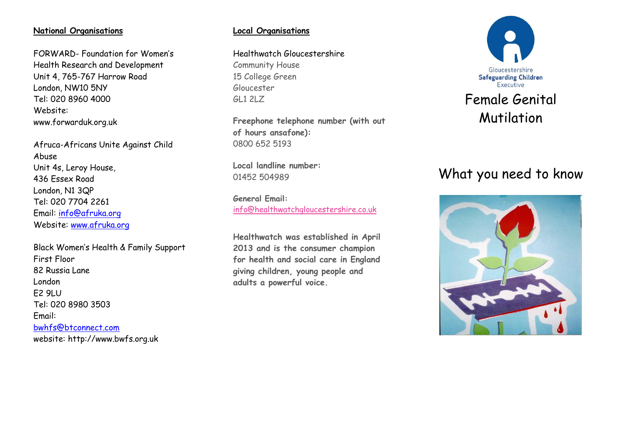### **National Organisations**

FORWARD- Foundation for Women's Health Research and Development Unit 4, 765-767 Harrow Road London, NW10 5NY Tel: 020 8960 4000 Website: www.forwarduk.org.uk

Afruca-Africans Unite Against Child Abuse Unit 4s, Leroy House, 436 Essex Road London, N1 3QP Tel: 020 7704 2261 Email: [info@afruka.org](mailto:info@afruka.org) Website: [www.afruka.org](http://www.afruka.org/)

Black Women's Health & Family Support First Floor 82 Russia Lane London E2 9LU Tel: 020 8980 3503 Email: [bwhfs@btconnect.com](mailto:bwhfs@btconnect.com) website: http://www.bwfs.org.uk

## **Local Organisations**

Healthwatch Gloucestershire Community House

15 College Green Gloucester GL1 2LZ

**Freephone telephone number (with out of hours ansafone):**  0800 652 5193

**Local landline number:**  01452 504989

**General Email:**  [info@healthwatchgloucestershire.co.uk](mailto:info@healthwatchgloucestershire.co.uk)

**Healthwatch was established in April 2013 and is the consumer champion for health and social care in England giving children, young people and adults a powerful voice.**



# What you need to know